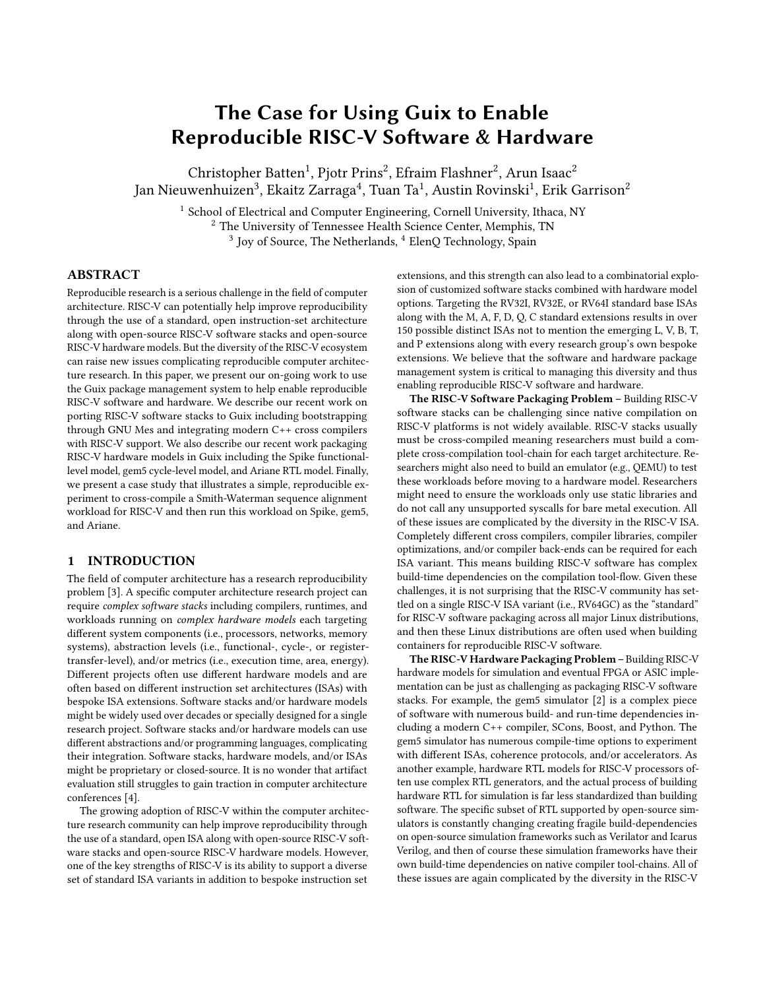# The Case for Using Guix to Enable Reproducible RISC-V Software & Hardware

Christopher Batten<sup>1</sup>, Pjotr Prins<sup>2</sup>, Efraim Flashner<sup>2</sup>, Arun Isaac<sup>2</sup> Jan Nieuwenhuizen<sup>3</sup>, Ekaitz Zarraga<sup>4</sup>, Tuan Ta<sup>1</sup>, Austin Rovinski<sup>1</sup>, Erik Garrison<sup>2</sup>

<sup>1</sup> School of Electrical and Computer Engineering, Cornell University, Ithaca, NY <sup>2</sup> The University of Tennessee Health Science Center, Memphis, TN  $3$  Joy of Source, The Netherlands,  $4$  ElenQ Technology, Spain

# ABSTRACT

Reproducible research is a serious challenge in the field of computer architecture. RISC-V can potentially help improve reproducibility through the use of a standard, open instruction-set architecture along with open-source RISC-V software stacks and open-source RISC-V hardware models. But the diversity of the RISC-V ecosystem can raise new issues complicating reproducible computer architecture research. In this paper, we present our on-going work to use the Guix package management system to help enable reproducible RISC-V software and hardware. We describe our recent work on porting RISC-V software stacks to Guix including bootstrapping through GNU Mes and integrating modern C++ cross compilers with RISC-V support. We also describe our recent work packaging RISC-V hardware models in Guix including the Spike functionallevel model, gem5 cycle-level model, and Ariane RTL model. Finally, we present a case study that illustrates a simple, reproducible experiment to cross-compile a Smith-Waterman sequence alignment workload for RISC-V and then run this workload on Spike, gem5, and Ariane.

#### 1 INTRODUCTION

The field of computer architecture has a research reproducibility problem [\[3\]](#page-5-0). A specific computer architecture research project can require *complex software stacks* including compilers, runtimes, and workloads running on *complex hardware models* each targeting different system components (i.e., processors, networks, memory systems), abstraction levels (i.e., functional-, cycle-, or registertransfer-level), and/or metrics (i.e., execution time, area, energy). Different projects often use different hardware models and are often based on different instruction set architectures (ISAs) with bespoke ISA extensions. Software stacks and/or hardware models might be widely used over decades or specially designed for a single research project. Software stacks and/or hardware models can use different abstractions and/or programming languages, complicating their integration. Software stacks, hardware models, and/or ISAs might be proprietary or closed-source. It is no wonder that artifact evaluation still struggles to gain traction in computer architecture conferences [\[4\]](#page-5-1).

The growing adoption of RISC-V within the computer architecture research community can help improve reproducibility through the use of a standard, open ISA along with open-source RISC-V software stacks and open-source RISC-V hardware models. However, one of the key strengths of RISC-V is its ability to support a diverse set of standard ISA variants in addition to bespoke instruction set

extensions, and this strength can also lead to a combinatorial explosion of customized software stacks combined with hardware model options. Targeting the RV32I, RV32E, or RV64I standard base ISAs along with the M, A, F, D, Q, C standard extensions results in over 150 possible distinct ISAs not to mention the emerging L, V, B, T, and P extensions along with every research group's own bespoke extensions. We believe that the software and hardware package management system is critical to managing this diversity and thus enabling reproducible RISC-V software and hardware.

The RISC-V Software Packaging Problem – Building RISC-V software stacks can be challenging since native compilation on RISC-V platforms is not widely available. RISC-V stacks usually must be cross-compiled meaning researchers must build a complete cross-compilation tool-chain for each target architecture. Researchers might also need to build an emulator (e.g., QEMU) to test these workloads before moving to a hardware model. Researchers might need to ensure the workloads only use static libraries and do not call any unsupported syscalls for bare metal execution. All of these issues are complicated by the diversity in the RISC-V ISA. Completely different cross compilers, compiler libraries, compiler optimizations, and/or compiler back-ends can be required for each ISA variant. This means building RISC-V software has complex build-time dependencies on the compilation tool-flow. Given these challenges, it is not surprising that the RISC-V community has settled on a single RISC-V ISA variant (i.e., RV64GC) as the "standard" for RISC-V software packaging across all major Linux distributions, and then these Linux distributions are often used when building containers for reproducible RISC-V software.

The RISC-V Hardware Packaging Problem – Building RISC-V hardware models for simulation and eventual FPGA or ASIC implementation can be just as challenging as packaging RISC-V software stacks. For example, the gem5 simulator [\[2\]](#page-5-2) is a complex piece of software with numerous build- and run-time dependencies including a modern C++ compiler, SCons, Boost, and Python. The gem5 simulator has numerous compile-time options to experiment with different ISAs, coherence protocols, and/or accelerators. As another example, hardware RTL models for RISC-V processors often use complex RTL generators, and the actual process of building hardware RTL for simulation is far less standardized than building software. The specific subset of RTL supported by open-source simulators is constantly changing creating fragile build-dependencies on open-source simulation frameworks such as Verilator and Icarus Verilog, and then of course these simulation frameworks have their own build-time dependencies on native compiler tool-chains. All of these issues are again complicated by the diversity in the RISC-V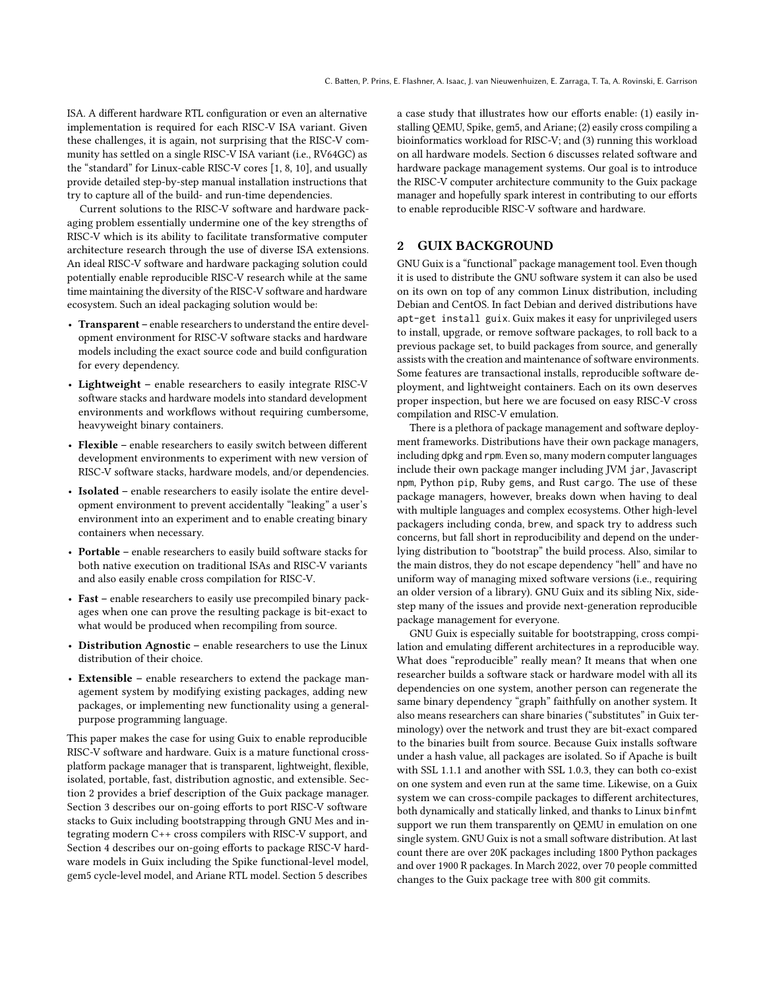ISA. A different hardware RTL configuration or even an alternative implementation is required for each RISC-V ISA variant. Given these challenges, it is again, not surprising that the RISC-V community has settled on a single RISC-V ISA variant (i.e., RV64GC) as the "standard" for Linux-cable RISC-V cores [\[1,](#page-5-3) [8,](#page-5-4) [10\]](#page-5-5), and usually provide detailed step-by-step manual installation instructions that try to capture all of the build- and run-time dependencies.

Current solutions to the RISC-V software and hardware packaging problem essentially undermine one of the key strengths of RISC-V which is its ability to facilitate transformative computer architecture research through the use of diverse ISA extensions. An ideal RISC-V software and hardware packaging solution could potentially enable reproducible RISC-V research while at the same time maintaining the diversity of the RISC-V software and hardware ecosystem. Such an ideal packaging solution would be:

- Transparent enable researchers to understand the entire development environment for RISC-V software stacks and hardware models including the exact source code and build configuration for every dependency.
- Lightweight enable researchers to easily integrate RISC-V software stacks and hardware models into standard development environments and workflows without requiring cumbersome, heavyweight binary containers.
- Flexible enable researchers to easily switch between different development environments to experiment with new version of RISC-V software stacks, hardware models, and/or dependencies.
- Isolated enable researchers to easily isolate the entire development environment to prevent accidentally "leaking" a user's environment into an experiment and to enable creating binary containers when necessary.
- Portable enable researchers to easily build software stacks for both native execution on traditional ISAs and RISC-V variants and also easily enable cross compilation for RISC-V.
- Fast enable researchers to easily use precompiled binary packages when one can prove the resulting package is bit-exact to what would be produced when recompiling from source.
- Distribution Agnostic enable researchers to use the Linux distribution of their choice.
- Extensible enable researchers to extend the package management system by modifying existing packages, adding new packages, or implementing new functionality using a generalpurpose programming language.

This paper makes the case for using Guix to enable reproducible RISC-V software and hardware. Guix is a mature functional crossplatform package manager that is transparent, lightweight, flexible, isolated, portable, fast, distribution agnostic, and extensible. Section [2](#page-1-0) provides a brief description of the Guix package manager. Section [3](#page-2-0) describes our on-going efforts to port RISC-V software stacks to Guix including bootstrapping through GNU Mes and integrating modern C++ cross compilers with RISC-V support, and Section [4](#page-2-1) describes our on-going efforts to package RISC-V hardware models in Guix including the Spike functional-level model, gem5 cycle-level model, and Ariane RTL model. Section [5](#page-3-0) describes

a case study that illustrates how our efforts enable: (1) easily installing QEMU, Spike, gem5, and Ariane; (2) easily cross compiling a bioinformatics workload for RISC-V; and (3) running this workload on all hardware models. Section [6](#page-4-0) discusses related software and hardware package management systems. Our goal is to introduce the RISC-V computer architecture community to the Guix package manager and hopefully spark interest in contributing to our efforts to enable reproducible RISC-V software and hardware.

#### <span id="page-1-0"></span>2 GUIX BACKGROUND

GNU Guix is a "functional" package management tool. Even though it is used to distribute the GNU software system it can also be used on its own on top of any common Linux distribution, including Debian and CentOS. In fact Debian and derived distributions have apt-get install guix. Guix makes it easy for unprivileged users to install, upgrade, or remove software packages, to roll back to a previous package set, to build packages from source, and generally assists with the creation and maintenance of software environments. Some features are transactional installs, reproducible software deployment, and lightweight containers. Each on its own deserves proper inspection, but here we are focused on easy RISC-V cross compilation and RISC-V emulation.

There is a plethora of package management and software deployment frameworks. Distributions have their own package managers, including dpkg and rpm. Even so, many modern computer languages include their own package manger including JVM jar, Javascript npm, Python pip, Ruby gems, and Rust cargo. The use of these package managers, however, breaks down when having to deal with multiple languages and complex ecosystems. Other high-level packagers including conda, brew, and spack try to address such concerns, but fall short in reproducibility and depend on the underlying distribution to "bootstrap" the build process. Also, similar to the main distros, they do not escape dependency "hell" and have no uniform way of managing mixed software versions (i.e., requiring an older version of a library). GNU Guix and its sibling Nix, sidestep many of the issues and provide next-generation reproducible package management for everyone.

GNU Guix is especially suitable for bootstrapping, cross compilation and emulating different architectures in a reproducible way. What does "reproducible" really mean? It means that when one researcher builds a software stack or hardware model with all its dependencies on one system, another person can regenerate the same binary dependency "graph" faithfully on another system. It also means researchers can share binaries ("substitutes" in Guix terminology) over the network and trust they are bit-exact compared to the binaries built from source. Because Guix installs software under a hash value, all packages are isolated. So if Apache is built with SSL 1.1.1 and another with SSL 1.0.3, they can both co-exist on one system and even run at the same time. Likewise, on a Guix system we can cross-compile packages to different architectures, both dynamically and statically linked, and thanks to Linux binfmt support we run them transparently on QEMU in emulation on one single system. GNU Guix is not a small software distribution. At last count there are over 20K packages including 1800 Python packages and over 1900 R packages. In March 2022, over 70 people committed changes to the Guix package tree with 800 git commits.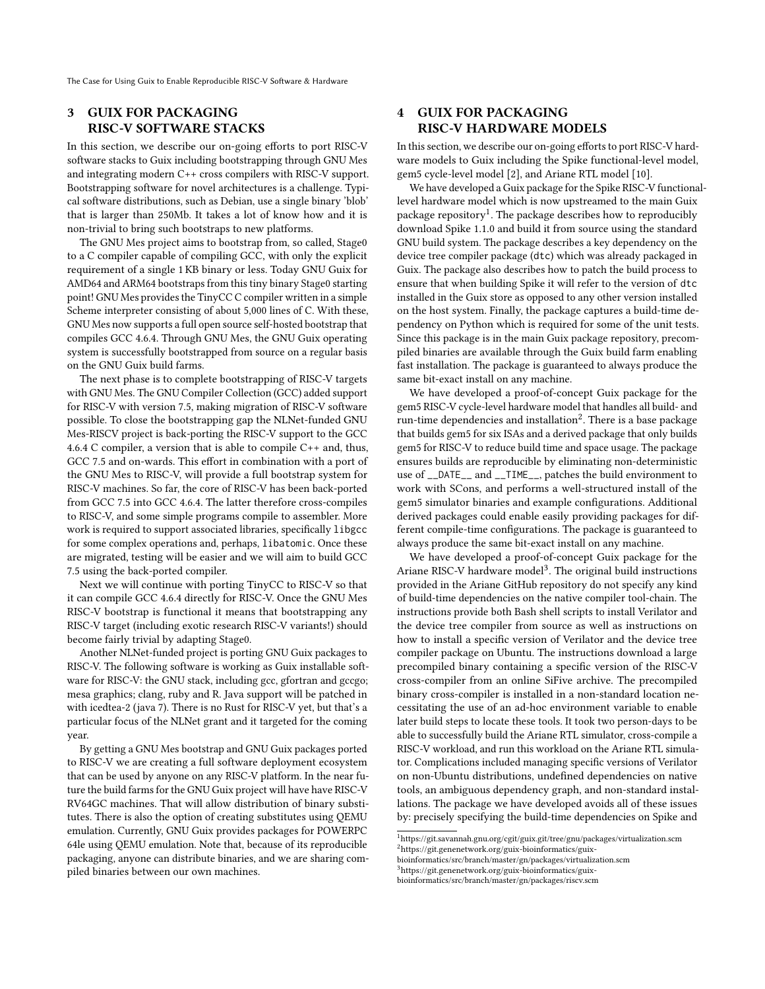The Case for Using Guix to Enable Reproducible RISC-V Software & Hardware

### <span id="page-2-0"></span>3 GUIX FOR PACKAGING RISC-V SOFTWARE STACKS

In this section, we describe our on-going efforts to port RISC-V software stacks to Guix including bootstrapping through GNU Mes and integrating modern C++ cross compilers with RISC-V support. Bootstrapping software for novel architectures is a challenge. Typical software distributions, such as Debian, use a single binary 'blob' that is larger than 250Mb. It takes a lot of know how and it is non-trivial to bring such bootstraps to new platforms.

The GNU Mes project aims to bootstrap from, so called, Stage0 to a C compiler capable of compiling GCC, with only the explicit requirement of a single 1 KB binary or less. Today GNU Guix for AMD64 and ARM64 bootstraps from this tiny binary Stage0 starting point! GNU Mes provides the TinyCC C compiler written in a simple Scheme interpreter consisting of about 5,000 lines of C. With these, GNU Mes now supports a full open source self-hosted bootstrap that compiles GCC 4.6.4. Through GNU Mes, the GNU Guix operating system is successfully bootstrapped from source on a regular basis on the GNU Guix build farms.

The next phase is to complete bootstrapping of RISC-V targets with GNU Mes. The GNU Compiler Collection (GCC) added support for RISC-V with version 7.5, making migration of RISC-V software possible. To close the bootstrapping gap the NLNet-funded GNU Mes-RISCV project is back-porting the RISC-V support to the GCC 4.6.4 C compiler, a version that is able to compile C++ and, thus, GCC 7.5 and on-wards. This effort in combination with a port of the GNU Mes to RISC-V, will provide a full bootstrap system for RISC-V machines. So far, the core of RISC-V has been back-ported from GCC 7.5 into GCC 4.6.4. The latter therefore cross-compiles to RISC-V, and some simple programs compile to assembler. More work is required to support associated libraries, specifically libgcc for some complex operations and, perhaps, libatomic. Once these are migrated, testing will be easier and we will aim to build GCC 7.5 using the back-ported compiler.

Next we will continue with porting TinyCC to RISC-V so that it can compile GCC 4.6.4 directly for RISC-V. Once the GNU Mes RISC-V bootstrap is functional it means that bootstrapping any RISC-V target (including exotic research RISC-V variants!) should become fairly trivial by adapting Stage0.

Another NLNet-funded project is porting GNU Guix packages to RISC-V. The following software is working as Guix installable software for RISC-V: the GNU stack, including gcc, gfortran and gccgo; mesa graphics; clang, ruby and R. Java support will be patched in with icedtea-2 (java 7). There is no Rust for RISC-V yet, but that's a particular focus of the NLNet grant and it targeted for the coming year.

By getting a GNU Mes bootstrap and GNU Guix packages ported to RISC-V we are creating a full software deployment ecosystem that can be used by anyone on any RISC-V platform. In the near future the build farms for the GNU Guix project will have have RISC-V RV64GC machines. That will allow distribution of binary substitutes. There is also the option of creating substitutes using QEMU emulation. Currently, GNU Guix provides packages for POWERPC 64le using QEMU emulation. Note that, because of its reproducible packaging, anyone can distribute binaries, and we are sharing compiled binaries between our own machines.

### <span id="page-2-1"></span>4 GUIX FOR PACKAGING RISC-V HARDWARE MODELS

In this section, we describe our on-going efforts to port RISC-V hardware models to Guix including the Spike functional-level model, gem5 cycle-level model [\[2\]](#page-5-2), and Ariane RTL model [\[10\]](#page-5-5).

We have developed a Guix package for the Spike RISC-V functionallevel hardware model which is now upstreamed to the main Guix package repository<sup>1</sup>. The package describes how to reproducibly download Spike 1.1.0 and build it from source using the standard GNU build system. The package describes a key dependency on the device tree compiler package (dtc) which was already packaged in Guix. The package also describes how to patch the build process to ensure that when building Spike it will refer to the version of dtc installed in the Guix store as opposed to any other version installed on the host system. Finally, the package captures a build-time dependency on Python which is required for some of the unit tests. Since this package is in the main Guix package repository, precompiled binaries are available through the Guix build farm enabling fast installation. The package is guaranteed to always produce the same bit-exact install on any machine.

We have developed a proof-of-concept Guix package for the gem5 RISC-V cycle-level hardware model that handles all build- and run-time dependencies and installation<sup>2</sup>. There is a base package that builds gem5 for six ISAs and a derived package that only builds gem5 for RISC-V to reduce build time and space usage. The package ensures builds are reproducible by eliminating non-deterministic use of \_\_DATE\_\_ and \_\_TIME\_\_, patches the build environment to work with SCons, and performs a well-structured install of the gem5 simulator binaries and example configurations. Additional derived packages could enable easily providing packages for different compile-time configurations. The package is guaranteed to always produce the same bit-exact install on any machine.

We have developed a proof-of-concept Guix package for the Ariane RISC-V hardware model<sup>3</sup>. The original build instructions provided in the Ariane GitHub repository do not specify any kind of build-time dependencies on the native compiler tool-chain. The instructions provide both Bash shell scripts to install Verilator and the device tree compiler from source as well as instructions on how to install a specific version of Verilator and the device tree compiler package on Ubuntu. The instructions download a large precompiled binary containing a specific version of the RISC-V cross-compiler from an online SiFive archive. The precompiled binary cross-compiler is installed in a non-standard location necessitating the use of an ad-hoc environment variable to enable later build steps to locate these tools. It took two person-days to be able to successfully build the Ariane RTL simulator, cross-compile a RISC-V workload, and run this workload on the Ariane RTL simulator. Complications included managing specific versions of Verilator on non-Ubuntu distributions, undefined dependencies on native tools, an ambiguous dependency graph, and non-standard installations. The package we have developed avoids all of these issues by: precisely specifying the build-time dependencies on Spike and

<span id="page-2-3"></span><span id="page-2-2"></span> $^1$ https://git.savannah.gnu.org/cgit/guix.git/tree/gnu/packages/virtualization.scm  $^2$ https://git.genenetwork.org/guix-bioinformatics/guix-

<span id="page-2-4"></span>bioinformatics/src/branch/master/gn/packages/virtualization.scm

<sup>3</sup>https://git.genenetwork.org/guix-bioinformatics/guix-

bioinformatics/src/branch/master/gn/packages/riscv.scm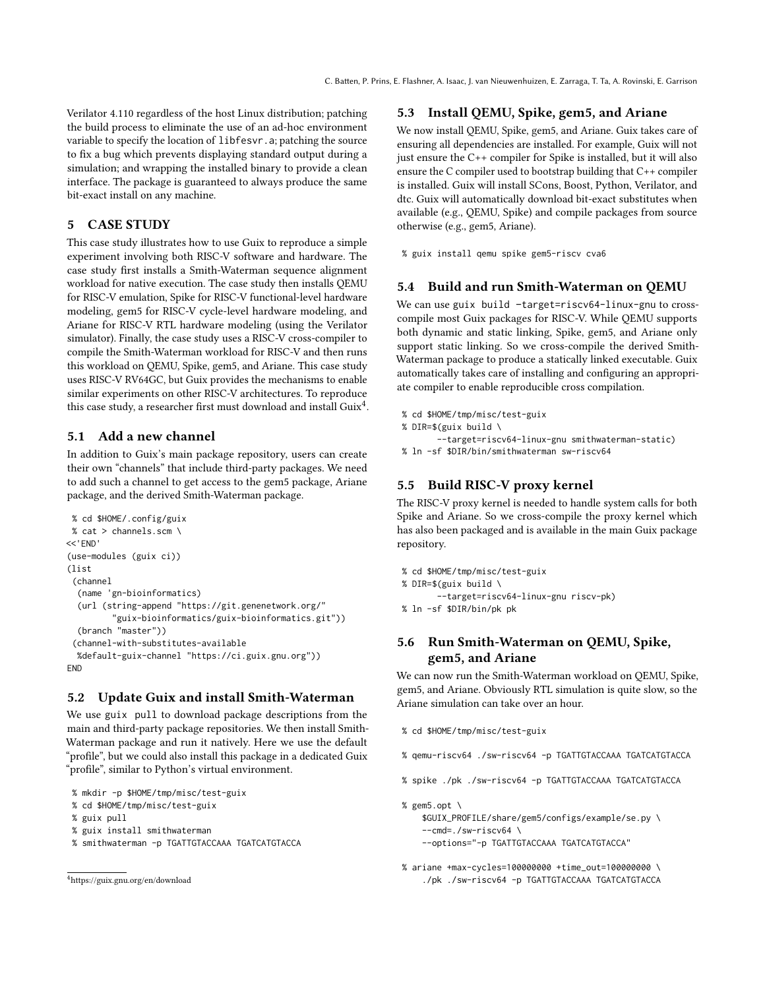Verilator 4.110 regardless of the host Linux distribution; patching the build process to eliminate the use of an ad-hoc environment variable to specify the location of libfesvr.a; patching the source to fix a bug which prevents displaying standard output during a simulation; and wrapping the installed binary to provide a clean interface. The package is guaranteed to always produce the same bit-exact install on any machine.

### <span id="page-3-0"></span>5 CASE STUDY

This case study illustrates how to use Guix to reproduce a simple experiment involving both RISC-V software and hardware. The case study first installs a Smith-Waterman sequence alignment workload for native execution. The case study then installs QEMU for RISC-V emulation, Spike for RISC-V functional-level hardware modeling, gem5 for RISC-V cycle-level hardware modeling, and Ariane for RISC-V RTL hardware modeling (using the Verilator simulator). Finally, the case study uses a RISC-V cross-compiler to compile the Smith-Waterman workload for RISC-V and then runs this workload on QEMU, Spike, gem5, and Ariane. This case study uses RISC-V RV64GC, but Guix provides the mechanisms to enable similar experiments on other RISC-V architectures. To reproduce this case study, a researcher first must download and install Guix<sup>4</sup>.

# 5.1 Add a new channel

In addition to Guix's main package repository, users can create their own "channels" that include third-party packages. We need to add such a channel to get access to the gem5 package, Ariane package, and the derived Smith-Waterman package.

```
% cd $HOME/.config/guix
% cat > channels.scm \
<<'END'
(use-modules (guix ci))
(list
(channel
 (name 'gn-bioinformatics)
  (url (string-append "https://git.genenetwork.org/"
         guix-bioinformatics/guix-bioinformatics.git))
  (branch "master"))
 (channel-with-substitutes-available
 %default-guix-channel "https://ci.guix.gnu.org"))
END
```
### 5.2 Update Guix and install Smith-Waterman

We use guix pull to download package descriptions from the main and third-party package repositories. We then install Smith-Waterman package and run it natively. Here we use the default "profile", but we could also install this package in a dedicated Guix "profile", similar to Python's virtual environment.

```
% mkdir -p $HOME/tmp/misc/test-guix
```

```
% cd $HOME/tmp/misc/test-guix
```

```
% guix pull
```
- % guix install smithwaterman
- % smithwaterman -p TGATTGTACCAAA TGATCATGTACCA

```
4https://guix.gnu.org/en/download
```
# 5.3 Install QEMU, Spike, gem5, and Ariane

We now install QEMU, Spike, gem5, and Ariane. Guix takes care of ensuring all dependencies are installed. For example, Guix will not just ensure the C++ compiler for Spike is installed, but it will also ensure the C compiler used to bootstrap building that C++ compiler is installed. Guix will install SCons, Boost, Python, Verilator, and dtc. Guix will automatically download bit-exact substitutes when available (e.g., QEMU, Spike) and compile packages from source otherwise (e.g., gem5, Ariane).

% guix install qemu spike gem5-riscv cva6

# 5.4 Build and run Smith-Waterman on QEMU

We can use guix build -target=riscv64-linux-gnu to crosscompile most Guix packages for RISC-V. While QEMU supports both dynamic and static linking, Spike, gem5, and Ariane only support static linking. So we cross-compile the derived Smith-Waterman package to produce a statically linked executable. Guix automatically takes care of installing and configuring an appropriate compiler to enable reproducible cross compilation.

```
% cd $HOME/tmp/misc/test-guix
```

```
% DIR=$(guix build \
```

```
--target=riscv64-linux-gnu smithwaterman-static)
% ln -sf $DIR/bin/smithwaterman sw-riscv64
```
## 5.5 Build RISC-V proxy kernel

The RISC-V proxy kernel is needed to handle system calls for both Spike and Ariane. So we cross-compile the proxy kernel which has also been packaged and is available in the main Guix package repository.

```
% cd $HOME/tmp/misc/test-guix
% DIR=$(guix build \
       --target=riscv64-linux-gnu riscv-pk)
% ln -sf $DIR/bin/pk pk
```
### 5.6 Run Smith-Waterman on QEMU, Spike, gem5, and Ariane

We can now run the Smith-Waterman workload on QEMU, Spike, gem5, and Ariane. Obviously RTL simulation is quite slow, so the Ariane simulation can take over an hour.

```
% cd $HOME/tmp/misc/test-guix
```
- % qemu-riscv64 ./sw-riscv64 -p TGATTGTACCAAA TGATCATGTACCA
- % spike ./pk ./sw-riscv64 -p TGATTGTACCAAA TGATCATGTACCA

% gem5.opt \ \$GUIX\_PROFILE/share/gem5/configs/example/se.py \ --cmd=./sw-riscv64 \ --options="-p TGATTGTACCAAA TGATCATGTACCA"

% ariane +max-cycles=100000000 +time\_out=100000000 \ ./pk ./sw-riscv64 -p TGATTGTACCAAA TGATCATGTACCA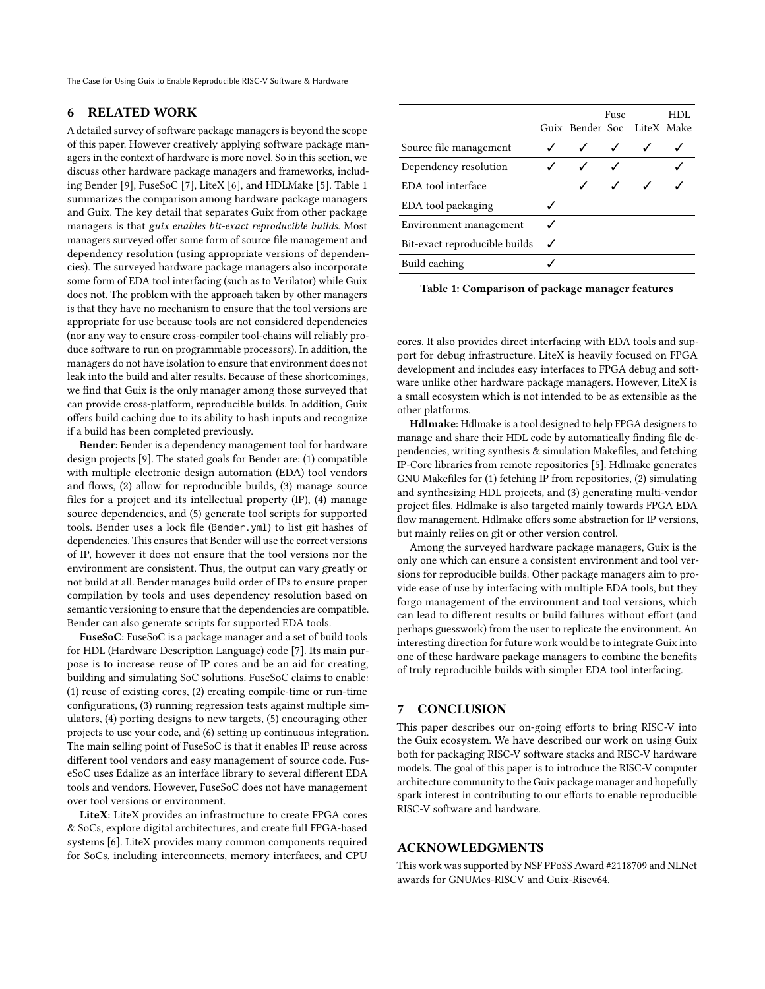The Case for Using Guix to Enable Reproducible RISC-V Software & Hardware

#### <span id="page-4-0"></span>6 RELATED WORK

A detailed survey of software package managers is beyond the scope of this paper. However creatively applying software package managers in the context of hardware is more novel. So in this section, we discuss other hardware package managers and frameworks, including Bender [\[9\]](#page-5-6), FuseSoC [\[7\]](#page-5-7), LiteX [\[6\]](#page-5-8), and HDLMake [\[5\]](#page-5-9). Table [1](#page-4-1) summarizes the comparison among hardware package managers and Guix. The key detail that separates Guix from other package managers is that *guix enables bit-exact reproducible builds*. Most managers surveyed offer some form of source file management and dependency resolution (using appropriate versions of dependencies). The surveyed hardware package managers also incorporate some form of EDA tool interfacing (such as to Verilator) while Guix does not. The problem with the approach taken by other managers is that they have no mechanism to ensure that the tool versions are appropriate for use because tools are not considered dependencies (nor any way to ensure cross-compiler tool-chains will reliably produce software to run on programmable processors). In addition, the managers do not have isolation to ensure that environment does not leak into the build and alter results. Because of these shortcomings, we find that Guix is the only manager among those surveyed that can provide cross-platform, reproducible builds. In addition, Guix offers build caching due to its ability to hash inputs and recognize if a build has been completed previously.

Bender: Bender is a dependency management tool for hardware design projects [\[9\]](#page-5-6). The stated goals for Bender are: (1) compatible with multiple electronic design automation (EDA) tool vendors and flows, (2) allow for reproducible builds, (3) manage source files for a project and its intellectual property (IP), (4) manage source dependencies, and (5) generate tool scripts for supported tools. Bender uses a lock file (Bender.yml) to list git hashes of dependencies. This ensures that Bender will use the correct versions of IP, however it does not ensure that the tool versions nor the environment are consistent. Thus, the output can vary greatly or not build at all. Bender manages build order of IPs to ensure proper compilation by tools and uses dependency resolution based on semantic versioning to ensure that the dependencies are compatible. Bender can also generate scripts for supported EDA tools.

FuseSoC: FuseSoC is a package manager and a set of build tools for HDL (Hardware Description Language) code [\[7\]](#page-5-7). Its main purpose is to increase reuse of IP cores and be an aid for creating, building and simulating SoC solutions. FuseSoC claims to enable: (1) reuse of existing cores, (2) creating compile-time or run-time configurations, (3) running regression tests against multiple simulators, (4) porting designs to new targets, (5) encouraging other projects to use your code, and (6) setting up continuous integration. The main selling point of FuseSoC is that it enables IP reuse across different tool vendors and easy management of source code. FuseSoC uses Edalize as an interface library to several different EDA tools and vendors. However, FuseSoC does not have management over tool versions or environment.

LiteX: LiteX provides an infrastructure to create FPGA cores & SoCs, explore digital architectures, and create full FPGA-based systems [\[6\]](#page-5-8). LiteX provides many common components required for SoCs, including interconnects, memory interfaces, and CPU

<span id="page-4-1"></span>

|                               | Guix Bender Soc LiteX Make | Fuse | HDL |
|-------------------------------|----------------------------|------|-----|
| Source file management        |                            |      |     |
| Dependency resolution         | ✓                          |      |     |
| EDA tool interface            |                            |      |     |
| EDA tool packaging            |                            |      |     |
| Environment management        |                            |      |     |
| Bit-exact reproducible builds |                            |      |     |
| Build caching                 |                            |      |     |

Table 1: Comparison of package manager features

cores. It also provides direct interfacing with EDA tools and support for debug infrastructure. LiteX is heavily focused on FPGA development and includes easy interfaces to FPGA debug and software unlike other hardware package managers. However, LiteX is a small ecosystem which is not intended to be as extensible as the other platforms.

Hdlmake: Hdlmake is a tool designed to help FPGA designers to manage and share their HDL code by automatically finding file dependencies, writing synthesis  $\&$  simulation Makefiles, and fetching IP-Core libraries from remote repositories [\[5\]](#page-5-9). Hdlmake generates GNU Makefiles for  $(1)$  fetching IP from repositories,  $(2)$  simulating and synthesizing HDL projects, and (3) generating multi-vendor project files. Hdlmake is also targeted mainly towards FPGA EDA flow management. Hdlmake offers some abstraction for IP versions, but mainly relies on git or other version control.

Among the surveyed hardware package managers, Guix is the only one which can ensure a consistent environment and tool versions for reproducible builds. Other package managers aim to provide ease of use by interfacing with multiple EDA tools, but they forgo management of the environment and tool versions, which can lead to different results or build failures without effort (and perhaps guesswork) from the user to replicate the environment. An interesting direction for future work would be to integrate Guix into one of these hardware package managers to combine the benefits of truly reproducible builds with simpler EDA tool interfacing.

#### 7 CONCLUSION

This paper describes our on-going efforts to bring RISC-V into the Guix ecosystem. We have described our work on using Guix both for packaging RISC-V software stacks and RISC-V hardware models. The goal of this paper is to introduce the RISC-V computer architecture community to the Guix package manager and hopefully spark interest in contributing to our efforts to enable reproducible RISC-V software and hardware.

### ACKNOWLEDGMENTS

This work was supported by NSF PPoSS Award #2118709 and NLNet awards for GNUMes-RISCV and Guix-Riscv64.